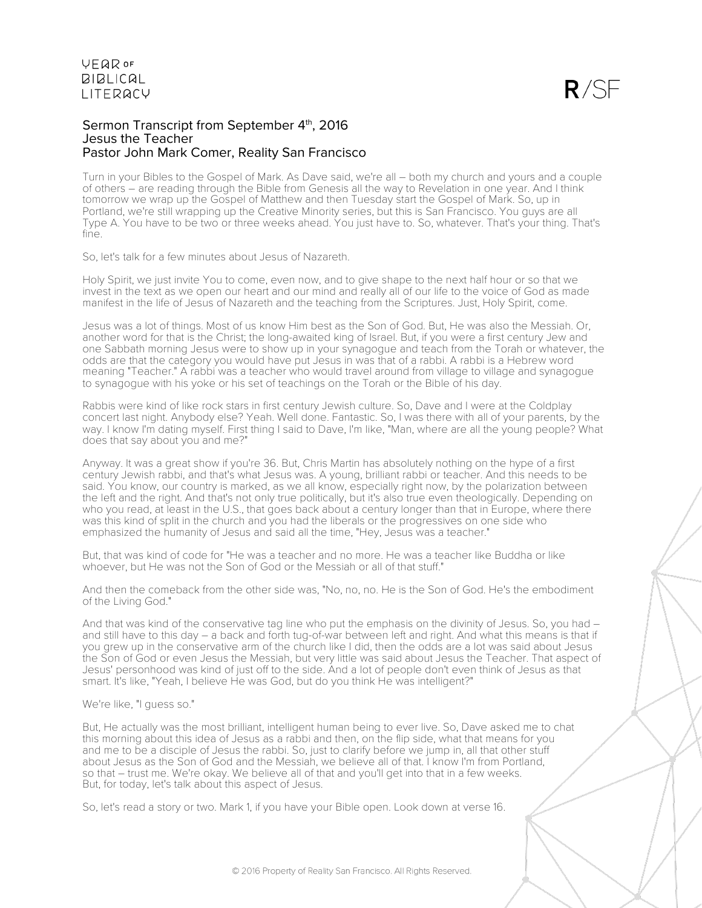#### Sermon Transcript from September 4<sup>th</sup>, 2016 Jesus the Teacher Pastor John Mark Comer, Reality San Francisco

Turn in your Bibles to the Gospel of Mark. As Dave said, we're all – both my church and yours and a couple of others – are reading through the Bible from Genesis all the way to Revelation in one year. And I think tomorrow we wrap up the Gospel of Matthew and then Tuesday start the Gospel of Mark. So, up in Portland, we're still wrapping up the Creative Minority series, but this is San Francisco. You guys are all Type A. You have to be two or three weeks ahead. You just have to. So, whatever. That's your thing. That's fine.

So, let's talk for a few minutes about Jesus of Nazareth.

Holy Spirit, we just invite You to come, even now, and to give shape to the next half hour or so that we invest in the text as we open our heart and our mind and really all of our life to the voice of God as made manifest in the life of Jesus of Nazareth and the teaching from the Scriptures. Just, Holy Spirit, come.

Jesus was a lot of things. Most of us know Him best as the Son of God. But, He was also the Messiah. Or, another word for that is the Christ; the long-awaited king of Israel. But, if you were a first century Jew and one Sabbath morning Jesus were to show up in your synagogue and teach from the Torah or whatever, the odds are that the category you would have put Jesus in was that of a rabbi. A rabbi is a Hebrew word meaning "Teacher." A rabbi was a teacher who would travel around from village to village and synagogue to synagogue with his yoke or his set of teachings on the Torah or the Bible of his day.

Rabbis were kind of like rock stars in first century Jewish culture. So, Dave and I were at the Coldplay concert last night. Anybody else? Yeah. Well done. Fantastic. So, I was there with all of your parents, by the way. I know I'm dating myself. First thing I said to Dave, I'm like, "Man, where are all the young people? What does that say about you and me?"

Anyway. It was a great show if you're 36. But, Chris Martin has absolutely nothing on the hype of a first century Jewish rabbi, and that's what Jesus was. A young, brilliant rabbi or teacher. And this needs to be said. You know, our country is marked, as we all know, especially right now, by the polarization between the left and the right. And that's not only true politically, but it's also true even theologically. Depending on who you read, at least in the U.S., that goes back about a century longer than that in Europe, where there was this kind of split in the church and you had the liberals or the progressives on one side who emphasized the humanity of Jesus and said all the time, "Hey, Jesus was a teacher."

But, that was kind of code for "He was a teacher and no more. He was a teacher like Buddha or like whoever, but He was not the Son of God or the Messiah or all of that stuff."

And then the comeback from the other side was, "No, no, no. He is the Son of God. He's the embodiment of the Living God."

And that was kind of the conservative tag line who put the emphasis on the divinity of Jesus. So, you had and still have to this day – a back and forth tug-of-war between left and right. And what this means is that if you grew up in the conservative arm of the church like I did, then the odds are a lot was said about Jesus the Son of God or even Jesus the Messiah, but very little was said about Jesus the Teacher. That aspect of Jesus' personhood was kind of just off to the side. And a lot of people don't even think of Jesus as that smart. It's like, "Yeah, I believe He was God, but do you think He was intelligent?"

#### We're like, "I guess so."

But, He actually was the most brilliant, intelligent human being to ever live. So, Dave asked me to chat this morning about this idea of Jesus as a rabbi and then, on the flip side, what that means for you and me to be a disciple of Jesus the rabbi. So, just to clarify before we jump in, all that other stuff about Jesus as the Son of God and the Messiah, we believe all of that. I know I'm from Portland, so that – trust me. We're okay. We believe all of that and you'll get into that in a few weeks. But, for today, let's talk about this aspect of Jesus.

So, let's read a story or two. Mark 1, if you have your Bible open. Look down at verse 16.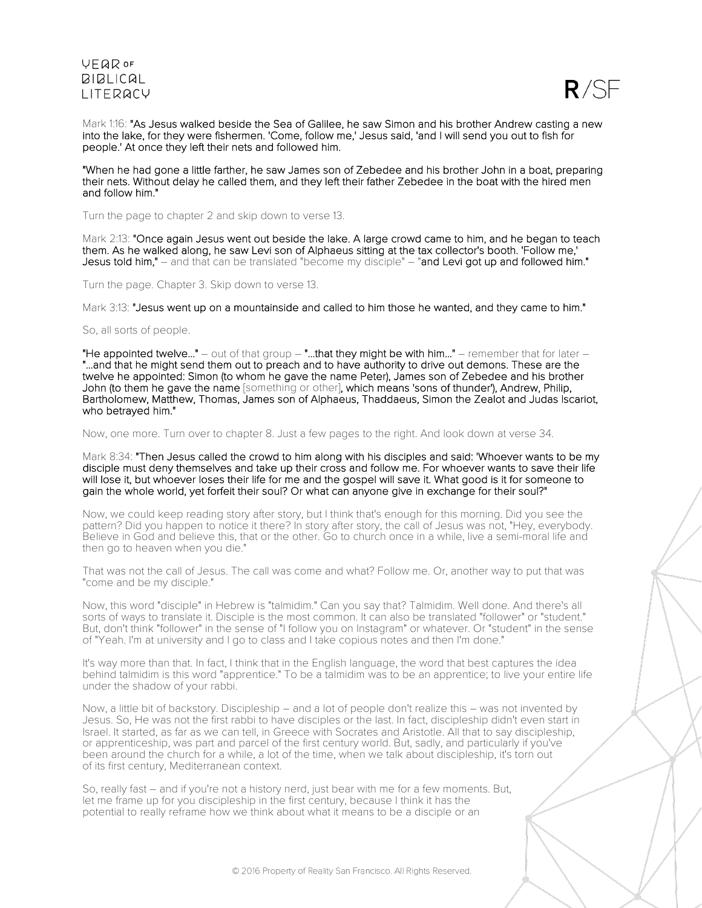

Mark 1:16: "As Jesus walked beside the Sea of Galilee, he saw Simon and his brother Andrew casting a new into the lake, for they were fishermen. 'Come, follow me,' Jesus said, 'and I will send you out to fish for people.' At once they left their nets and followed him.

"When he had gone a little farther, he saw James son of Zebedee and his brother John in a boat, preparing their nets. Without delay he called them, and they left their father Zebedee in the boat with the hired men and follow him."

Turn the page to chapter 2 and skip down to verse 13.

Mark 2:13: "Once again Jesus went out beside the lake. A large crowd came to him, and he began to teach them. As he walked along, he saw Levi son of Alphaeus sitting at the tax collector's booth. 'Follow me,' Jesus told him," – and that can be translated "become my disciple" – "and Levi got up and followed him."

Turn the page. Chapter 3. Skip down to verse 13.

Mark 3:13: "Jesus went up on a mountainside and called to him those he wanted, and they came to him."

So, all sorts of people.

"He appointed twelve..." – out of that group – "...that they might be with him..." – remember that for later –<br>"...and that he might send them out to preach and to have authority to drive out demons. These are the twelve he appointed: Simon (to whom he gave the name Peter), James son of Zebedee and his brother John (to them he gave the name [something or other], which means 'sons of thunder'), Andrew, Philip, Bartholomew, Matthew, Thomas, James son of Alphaeus, Thaddaeus, Simon the Zealot and Judas Iscariot, who betrayed him."

Now, one more. Turn over to chapter 8. Just a few pages to the right. And look down at verse 34.

Mark 8:34: "Then Jesus called the crowd to him along with his disciples and said: 'Whoever wants to be my disciple must deny themselves and take up their cross and follow me. For whoever wants to save their life will lose it, but whoever loses their life for me and the gospel will save it. What good is it for someone to gain the whole world, yet forfeit their soul? Or what can anyone give in exchange for their soul?"

Now, we could keep reading story after story, but I think that's enough for this morning. Did you see the pattern? Did you happen to notice it there? In story after story, the call of Jesus was not, "Hey, everybody. Believe in God and believe this, that or the other. Go to church once in a while, live a semi-moral life and then go to heaven when you die."

That was not the call of Jesus. The call was come and what? Follow me. Or, another way to put that was "come and be my disciple."

Now, this word "disciple" in Hebrew is "talmidim." Can you say that? Talmidim. Well done. And there's all sorts of ways to translate it. Disciple is the most common. It can also be translated "follower" or "student." But, don't think "follower" in the sense of "I follow you on Instagram" or whatever. Or "student" in the sense of "Yeah. I'm at university and I go to class and I take copious notes and then I'm done."

It's way more than that. In fact, I think that in the English language, the word that best captures the idea behind talmidim is this word "apprentice." To be a talmidim was to be an apprentice; to live your entire life under the shadow of your rabbi.

Now, a little bit of backstory. Discipleship – and a lot of people don't realize this – was not invented by Jesus. So, He was not the first rabbi to have disciples or the last. In fact, discipleship didn't even start in Israel. It started, as far as we can tell, in Greece with Socrates and Aristotle. All that to say discipleship, or apprenticeship, was part and parcel of the first century world. But, sadly, and particularly if you've been around the church for a while, a lot of the time, when we talk about discipleship, it's torn out of its first century, Mediterranean context.

So, really fast – and if you're not a history nerd, just bear with me for a few moments. But, let me frame up for you discipleship in the first century, because I think it has the potential to really reframe how we think about what it means to be a disciple or an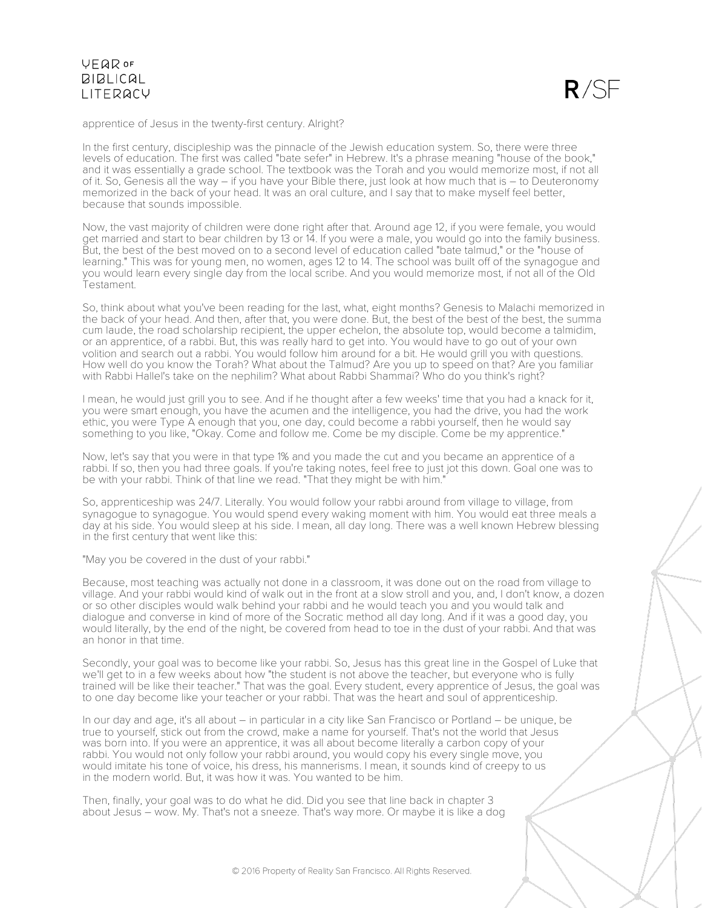

apprentice of Jesus in the twenty-first century. Alright?

In the first century, discipleship was the pinnacle of the Jewish education system. So, there were three levels of education. The first was called "bate sefer" in Hebrew. It's a phrase meaning "house of the book," and it was essentially a grade school. The textbook was the Torah and you would memorize most, if not all of it. So, Genesis all the way – if you have your Bible there, just look at how much that is – to Deuteronomy memorized in the back of your head. It was an oral culture, and I say that to make myself feel better, because that sounds impossible.

Now, the vast majority of children were done right after that. Around age 12, if you were female, you would get married and start to bear children by 13 or 14. If you were a male, you would go into the family business. But, the best of the best moved on to a second level of education called "bate talmud," or the "house of learning." This was for young men, no women, ages 12 to 14. The school was built off of the synagogue and you would learn every single day from the local scribe. And you would memorize most, if not all of the Old Testament.

So, think about what you've been reading for the last, what, eight months? Genesis to Malachi memorized in the back of your head. And then, after that, you were done. But, the best of the best of the best, the summa cum laude, the road scholarship recipient, the upper echelon, the absolute top, would become a talmidim, or an apprentice, of a rabbi. But, this was really hard to get into. You would have to go out of your own volition and search out a rabbi. You would follow him around for a bit. He would grill you with questions. How well do you know the Torah? What about the Talmud? Are you up to speed on that? Are you familiar with Rabbi Hallel's take on the nephilim? What about Rabbi Shammai? Who do you think's right?

I mean, he would just grill you to see. And if he thought after a few weeks' time that you had a knack for it, you were smart enough, you have the acumen and the intelligence, you had the drive, you had the work ethic, you were Type A enough that you, one day, could become a rabbi yourself, then he would say something to you like, "Okay. Come and follow me. Come be my disciple. Come be my apprentice."

Now, let's say that you were in that type 1% and you made the cut and you became an apprentice of a rabbi. If so, then you had three goals. If you're taking notes, feel free to just jot this down. Goal one was to be with your rabbi. Think of that line we read. "That they might be with him."

So, apprenticeship was 24/7. Literally. You would follow your rabbi around from village to village, from synagogue to synagogue. You would spend every waking moment with him. You would eat three meals a day at his side. You would sleep at his side. I mean, all day long. There was a well known Hebrew blessing in the first century that went like this:

"May you be covered in the dust of your rabbi."

Because, most teaching was actually not done in a classroom, it was done out on the road from village to village. And your rabbi would kind of walk out in the front at a slow stroll and you, and, I don't know, a dozen or so other disciples would walk behind your rabbi and he would teach you and you would talk and dialogue and converse in kind of more of the Socratic method all day long. And if it was a good day, you would literally, by the end of the night, be covered from head to toe in the dust of your rabbi. And that was an honor in that time.

Secondly, your goal was to become like your rabbi. So, Jesus has this great line in the Gospel of Luke that we'll get to in a few weeks about how "the student is not above the teacher, but everyone who is fully trained will be like their teacher." That was the goal. Every student, every apprentice of Jesus, the goal was to one day become like your teacher or your rabbi. That was the heart and soul of apprenticeship.

In our day and age, it's all about – in particular in a city like San Francisco or Portland – be unique, be true to yourself, stick out from the crowd, make a name for yourself. That's not the world that Jesus was born into. If you were an apprentice, it was all about become literally a carbon copy of your rabbi. You would not only follow your rabbi around, you would copy his every single move, you would imitate his tone of voice, his dress, his mannerisms. I mean, it sounds kind of creepy to us in the modern world. But, it was how it was. You wanted to be him.

Then, finally, your goal was to do what he did. Did you see that line back in chapter 3 about Jesus – wow. My. That's not a sneeze. That's way more. Or maybe it is like a dog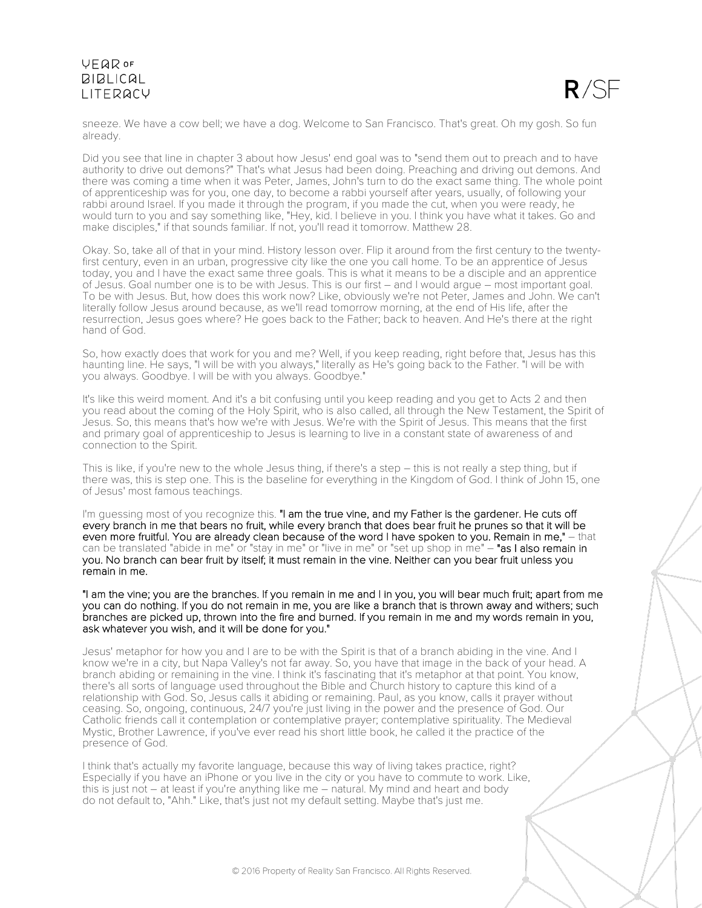

sneeze. We have a cow bell; we have a dog. Welcome to San Francisco. That's great. Oh my gosh. So fun already.

Did you see that line in chapter 3 about how Jesus' end goal was to "send them out to preach and to have authority to drive out demons?" That's what Jesus had been doing. Preaching and driving out demons. And there was coming a time when it was Peter, James, John's turn to do the exact same thing. The whole point of apprenticeship was for you, one day, to become a rabbi yourself after years, usually, of following your rabbi around Israel. If you made it through the program, if you made the cut, when you were ready, he would turn to you and say something like, "Hey, kid. I believe in you. I think you have what it takes. Go and make disciples," if that sounds familiar. If not, you'll read it tomorrow. Matthew 28.

Okay. So, take all of that in your mind. History lesson over. Flip it around from the first century to the twentyfirst century, even in an urban, progressive city like the one you call home. To be an apprentice of Jesus today, you and I have the exact same three goals. This is what it means to be a disciple and an apprentice of Jesus. Goal number one is to be with Jesus. This is our first – and I would argue – most important goal. To be with Jesus. But, how does this work now? Like, obviously we're not Peter, James and John. We can't literally follow Jesus around because, as we'll read tomorrow morning, at the end of His life, after the resurrection, Jesus goes where? He goes back to the Father; back to heaven. And He's there at the right hand of God.

So, how exactly does that work for you and me? Well, if you keep reading, right before that, Jesus has this haunting line. He says, "I will be with you always," literally as He's going back to the Father. "I will be with you always. Goodbye. I will be with you always. Goodbye."

It's like this weird moment. And it's a bit confusing until you keep reading and you get to Acts 2 and then you read about the coming of the Holy Spirit, who is also called, all through the New Testament, the Spirit of Jesus. So, this means that's how we're with Jesus. We're with the Spirit of Jesus. This means that the first and primary goal of apprenticeship to Jesus is learning to live in a constant state of awareness of and connection to the Spirit.

This is like, if you're new to the whole Jesus thing, if there's a step – this is not really a step thing, but if there was, this is step one. This is the baseline for everything in the Kingdom of God. I think of John 15, one of Jesus' most famous teachings.

I'm guessing most of you recognize this. "I am the true vine, and my Father is the gardener. He cuts off every branch in me that bears no fruit, while every branch that does bear fruit he prunes so that it will be even more fruitful. You are already clean because of the word I have spoken to you. Remain in me," – that can be translated "abide in me" or "stay in me" or "live in me" or "set up shop in me" - "as I also remain in you. No branch can bear fruit by itself; it must remain in the vine. Neither can you bear fruit unless you remain in me.

"I am the vine; you are the branches. If you remain in me and I in you, you will bear much fruit; apart from me you can do nothing. If you do not remain in me, you are like a branch that is thrown away and withers; such branches are picked up, thrown into the fire and burned. If you remain in me and my words remain in you, ask whatever you wish, and it will be done for you."

Jesus' metaphor for how you and I are to be with the Spirit is that of a branch abiding in the vine. And I know we're in a city, but Napa Valley's not far away. So, you have that image in the back of your head. A branch abiding or remaining in the vine. I think it's fascinating that it's metaphor at that point. You know, there's all sorts of language used throughout the Bible and Church history to capture this kind of a relationship with God. So, Jesus calls it abiding or remaining. Paul, as you know, calls it prayer without ceasing. So, ongoing, continuous, 24/7 you're just living in the power and the presence of God. Our Catholic friends call it contemplation or contemplative prayer; contemplative spirituality. The Medieval Mystic, Brother Lawrence, if you've ever read his short little book, he called it the practice of the presence of God.

I think that's actually my favorite language, because this way of living takes practice, right? Especially if you have an iPhone or you live in the city or you have to commute to work. Like, this is just not – at least if you're anything like me – natural. My mind and heart and body do not default to, "Ahh." Like, that's just not my default setting. Maybe that's just me.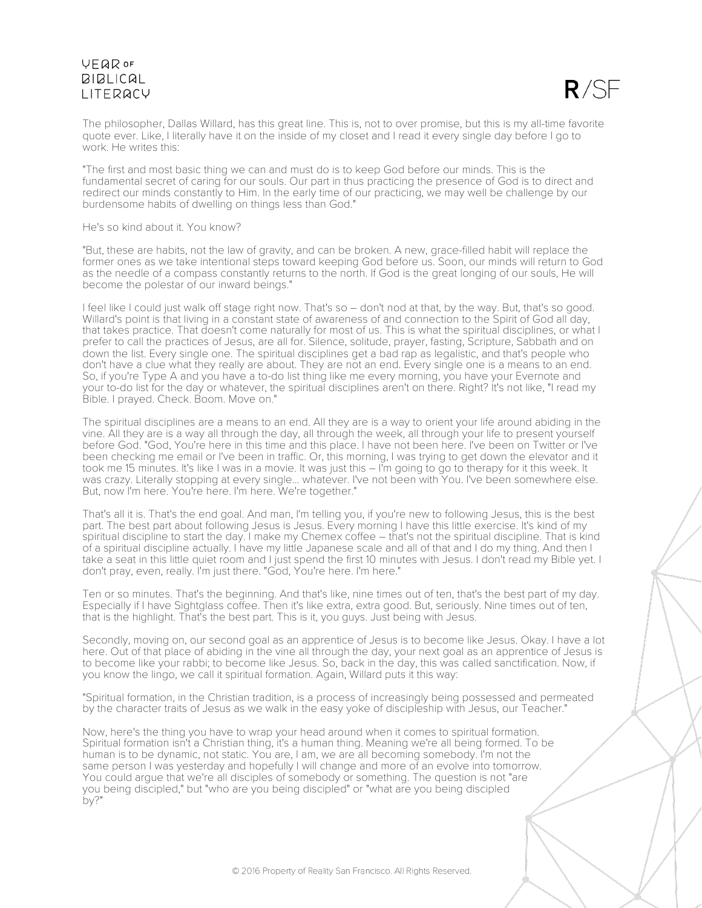

The philosopher, Dallas Willard, has this great line. This is, not to over promise, but this is my all-time favorite quote ever. Like, I literally have it on the inside of my closet and I read it every single day before I go to work. He writes this:

"The first and most basic thing we can and must do is to keep God before our minds. This is the fundamental secret of caring for our souls. Our part in thus practicing the presence of God is to direct and redirect our minds constantly to Him. In the early time of our practicing, we may well be challenge by our burdensome habits of dwelling on things less than God."

#### He's so kind about it. You know?

"But, these are habits, not the law of gravity, and can be broken. A new, grace-filled habit will replace the former ones as we take intentional steps toward keeping God before us. Soon, our minds will return to God as the needle of a compass constantly returns to the north. If God is the great longing of our souls, He will become the polestar of our inward beings."

I feel like I could just walk off stage right now. That's so - don't nod at that, by the way. But, that's so good. Willard's point is that living in a constant state of awareness of and connection to the Spirit of God all day, that takes practice. That doesn't come naturally for most of us. This is what the spiritual disciplines, or what I prefer to call the practices of Jesus, are all for. Silence, solitude, prayer, fasting, Scripture, Sabbath and on down the list. Every single one. The spiritual disciplines get a bad rap as legalistic, and that's people who don't have a clue what they really are about. They are not an end. Every single one is a means to an end. So, if you're Type A and you have a to-do list thing like me every morning, you have your Evernote and your to-do list for the day or whatever, the spiritual disciplines aren't on there. Right? It's not like, "I read my Bible. I prayed. Check. Boom. Move on."

The spiritual disciplines are a means to an end. All they are is a way to orient your life around abiding in the vine. All they are is a way all through the day, all through the week, all through your life to present yourself before God. "God, You're here in this time and this place. I have not been here. I've been on Twitter or I've been checking me email or I've been in traffic. Or, this morning, I was trying to get down the elevator and it took me 15 minutes. It's like I was in a movie. It was just this – I'm going to go to therapy for it this week. It was crazy. Literally stopping at every single... whatever. I've not been with You. I've been somewhere else. But, now I'm here. You're here. I'm here. We're together."

That's all it is. That's the end goal. And man, I'm telling you, if you're new to following Jesus, this is the best part. The best part about following Jesus is Jesus. Every morning I have this little exercise. It's kind of my spiritual discipline to start the day. I make my Chemex coffee – that's not the spiritual discipline. That is kind of a spiritual discipline actually. I have my little Japanese scale and all of that and I do my thing. And then I take a seat in this little quiet room and I just spend the first 10 minutes with Jesus. I don't read my Bible yet. I don't pray, even, really. I'm just there. "God, You're here. I'm here."

Ten or so minutes. That's the beginning. And that's like, nine times out of ten, that's the best part of my day. Especially if I have Sightglass coffee. Then it's like extra, extra good. But, seriously. Nine times out of ten, that is the highlight. That's the best part. This is it, you guys. Just being with Jesus.

Secondly, moving on, our second goal as an apprentice of Jesus is to become like Jesus. Okay. I have a lot here. Out of that place of abiding in the vine all through the day, your next goal as an apprentice of Jesus is to become like your rabbi; to become like Jesus. So, back in the day, this was called sanctification. Now, if you know the lingo, we call it spiritual formation. Again, Willard puts it this way:

"Spiritual formation, in the Christian tradition, is a process of increasingly being possessed and permeated by the character traits of Jesus as we walk in the easy yoke of discipleship with Jesus, our Teacher."

Now, here's the thing you have to wrap your head around when it comes to spiritual formation. Spiritual formation isn't a Christian thing, it's a human thing. Meaning we're all being formed. To be human is to be dynamic, not static. You are, I am, we are all becoming somebody. I'm not the same person I was yesterday and hopefully I will change and more of an evolve into tomorrow. You could argue that we're all disciples of somebody or something. The question is not "are you being discipled," but "who are you being discipled" or "what are you being discipled by?"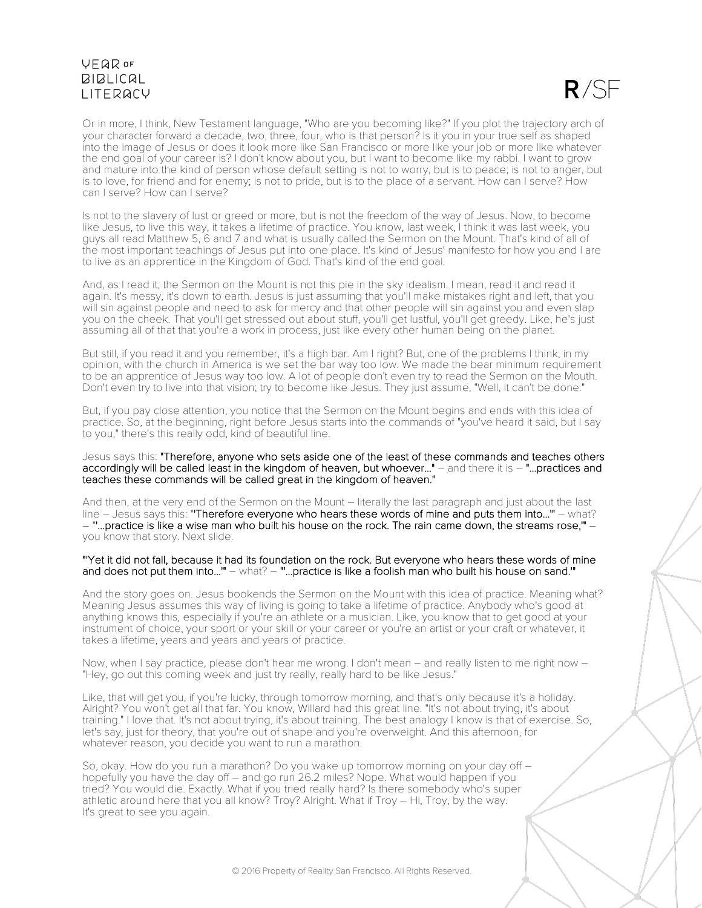

Or in more, I think, New Testament language, "Who are you becoming like?" If you plot the trajectory arch of your character forward a decade, two, three, four, who is that person? Is it you in your true self as shaped into the image of Jesus or does it look more like San Francisco or more like your job or more like whatever the end goal of your career is? I don't know about you, but I want to become like my rabbi. I want to grow and mature into the kind of person whose default setting is not to worry, but is to peace; is not to anger, but is to love, for friend and for enemy; is not to pride, but is to the place of a servant. How can I serve? How can I serve? How can I serve?

Is not to the slavery of lust or greed or more, but is not the freedom of the way of Jesus. Now, to become like Jesus, to live this way, it takes a lifetime of practice. You know, last week, I think it was last week, you guys all read Matthew 5, 6 and 7 and what is usually called the Sermon on the Mount. That's kind of all of the most important teachings of Jesus put into one place. It's kind of Jesus' manifesto for how you and I are to live as an apprentice in the Kingdom of God. That's kind of the end goal.

And, as I read it, the Sermon on the Mount is not this pie in the sky idealism. I mean, read it and read it again. It's messy, it's down to earth. Jesus is just assuming that you'll make mistakes right and left, that you will sin against people and need to ask for mercy and that other people will sin against you and even slap you on the cheek. That you'll get stressed out about stuff, you'll get lustful, you'll get greedy. Like, he's just assuming all of that that you're a work in process, just like every other human being on the planet.

But still, if you read it and you remember, it's a high bar. Am I right? But, one of the problems I think, in my opinion, with the church in America is we set the bar way too low. We made the bear minimum requirement to be an apprentice of Jesus way too low. A lot of people don't even try to read the Sermon on the Mouth. Don't even try to live into that vision; try to become like Jesus. They just assume, "Well, it can't be done."

But, if you pay close attention, you notice that the Sermon on the Mount begins and ends with this idea of practice. So, at the beginning, right before Jesus starts into the commands of "you've heard it said, but I say to you," there's this really odd, kind of beautiful line.

Jesus says this: "Therefore, anyone who sets aside one of the least of these commands and teaches others accordingly will be called least in the kingdom of heaven, but whoever..." – and there it is – "...practices and teaches these commands will be called great in the kingdom of heaven."

And then, at the very end of the Sermon on the Mount – literally the last paragraph and just about the last line – Jesus says this: "'Therefore everyone who hears these words of mine and puts them into...'" – what?  $-$  "...practice is like a wise man who built his house on the rock. The rain came down, the streams rose,"  $-$  you know that story. Next slide.

#### "'Yet it did not fall, because it had its foundation on the rock. But everyone who hears these words of mine and does not put them into..."" – what? – "'...practice is like a foolish man who built his house on sand."'

And the story goes on. Jesus bookends the Sermon on the Mount with this idea of practice. Meaning what? Meaning Jesus assumes this way of living is going to take a lifetime of practice. Anybody who's good at anything knows this, especially if you're an athlete or a musician. Like, you know that to get good at your instrument of choice, your sport or your skill or your career or you're an artist or your craft or whatever, it takes a lifetime, years and years and years of practice.

Now, when I say practice, please don't hear me wrong. I don't mean – and really listen to me right now – "Hey, go out this coming week and just try really, really hard to be like Jesus."

Like, that will get you, if you're lucky, through tomorrow morning, and that's only because it's a holiday. Alright? You won't get all that far. You know, Willard had this great line. "It's not about trying, it's about training." I love that. It's not about trying, it's about training. The best analogy I know is that of exercise. So, let's say, just for theory, that you're out of shape and you're overweight. And this afternoon, for whatever reason, you decide you want to run a marathon.

So, okay. How do you run a marathon? Do you wake up tomorrow morning on your day off – hopefully you have the day off – and go run 26.2 miles? Nope. What would happen if you tried? You would die. Exactly. What if you tried really hard? Is there somebody who's super athletic around here that you all know? Troy? Alright. What if Troy – Hi, Troy, by the way. It's great to see you again.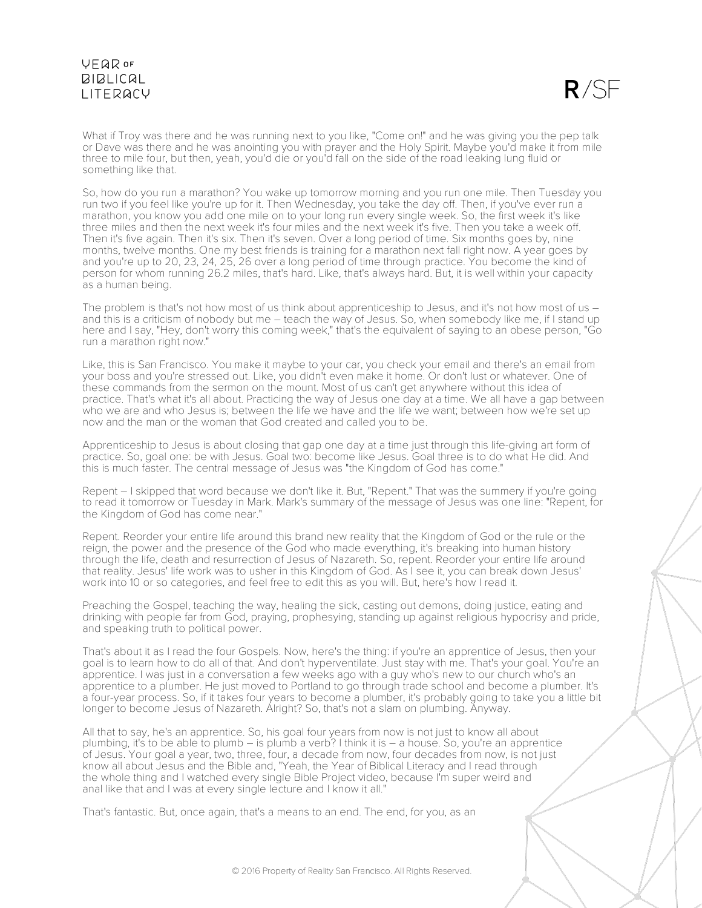$R/SE$ 

What if Troy was there and he was running next to you like, "Come on!" and he was giving you the pep talk or Dave was there and he was anointing you with prayer and the Holy Spirit. Maybe you'd make it from mile three to mile four, but then, yeah, you'd die or you'd fall on the side of the road leaking lung fluid or something like that.

So, how do you run a marathon? You wake up tomorrow morning and you run one mile. Then Tuesday you run two if you feel like you're up for it. Then Wednesday, you take the day off. Then, if you've ever run a marathon, you know you add one mile on to your long run every single week. So, the first week it's like three miles and then the next week it's four miles and the next week it's five. Then you take a week off. Then it's five again. Then it's six. Then it's seven. Over a long period of time. Six months goes by, nine months, twelve months. One my best friends is training for a marathon next fall right now. A year goes by and you're up to 20, 23, 24, 25, 26 over a long period of time through practice. You become the kind of person for whom running 26.2 miles, that's hard. Like, that's always hard. But, it is well within your capacity as a human being.

The problem is that's not how most of us think about apprenticeship to Jesus, and it's not how most of us and this is a criticism of nobody but me – teach the way of Jesus. So, when somebody like me, if I stand up here and I say, "Hey, don't worry this coming week," that's the equivalent of saying to an obese person, "Go run a marathon right now."

Like, this is San Francisco. You make it maybe to your car, you check your email and there's an email from your boss and you're stressed out. Like, you didn't even make it home. Or don't lust or whatever. One of these commands from the sermon on the mount. Most of us can't get anywhere without this idea of practice. That's what it's all about. Practicing the way of Jesus one day at a time. We all have a gap between who we are and who Jesus is; between the life we have and the life we want; between how we're set up now and the man or the woman that God created and called you to be.

Apprenticeship to Jesus is about closing that gap one day at a time just through this life-giving art form of practice. So, goal one: be with Jesus. Goal two: become like Jesus. Goal three is to do what He did. And this is much faster. The central message of Jesus was "the Kingdom of God has come."

Repent – I skipped that word because we don't like it. But, "Repent." That was the summery if you're going to read it tomorrow or Tuesday in Mark. Mark's summary of the message of Jesus was one line: "Repent, for the Kingdom of God has come near."

Repent. Reorder your entire life around this brand new reality that the Kingdom of God or the rule or the reign, the power and the presence of the God who made everything, it's breaking into human history through the life, death and resurrection of Jesus of Nazareth. So, repent. Reorder your entire life around that reality. Jesus' life work was to usher in this Kingdom of God. As I see it, you can break down Jesus' work into 10 or so categories, and feel free to edit this as you will. But, here's how I read it.

Preaching the Gospel, teaching the way, healing the sick, casting out demons, doing justice, eating and drinking with people far from God, praying, prophesying, standing up against religious hypocrisy and pride, and speaking truth to political power.

That's about it as I read the four Gospels. Now, here's the thing: if you're an apprentice of Jesus, then your goal is to learn how to do all of that. And don't hyperventilate. Just stay with me. That's your goal. You're an apprentice. I was just in a conversation a few weeks ago with a guy who's new to our church who's an apprentice to a plumber. He just moved to Portland to go through trade school and become a plumber. It's a four-year process. So, if it takes four years to become a plumber, it's probably going to take you a little bit longer to become Jesus of Nazareth. Alright? So, that's not a slam on plumbing. Anyway.

All that to say, he's an apprentice. So, his goal four years from now is not just to know all about plumbing, it's to be able to plumb – is plumb a verb? I think it is – a house. So, you're an apprentice of Jesus. Your goal a year, two, three, four, a decade from now, four decades from now, is not just know all about Jesus and the Bible and, "Yeah, the Year of Biblical Literacy and I read through the whole thing and I watched every single Bible Project video, because I'm super weird and anal like that and I was at every single lecture and I know it all."

That's fantastic. But, once again, that's a means to an end. The end, for you, as an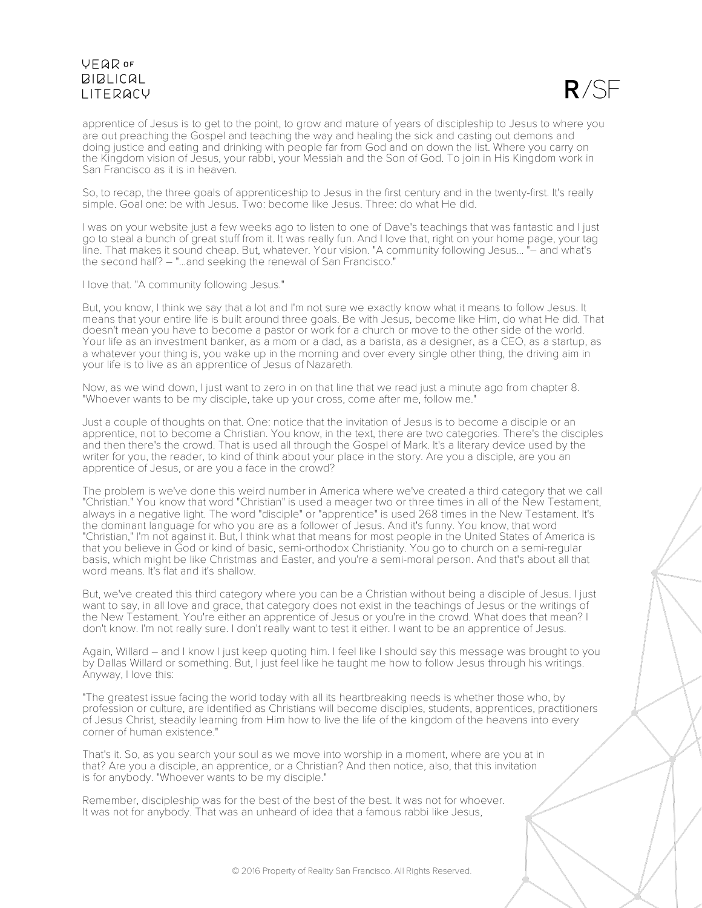

apprentice of Jesus is to get to the point, to grow and mature of years of discipleship to Jesus to where you are out preaching the Gospel and teaching the way and healing the sick and casting out demons and doing justice and eating and drinking with people far from God and on down the list. Where you carry on the Kingdom vision of Jesus, your rabbi, your Messiah and the Son of God. To join in His Kingdom work in San Francisco as it is in heaven.

So, to recap, the three goals of apprenticeship to Jesus in the first century and in the twenty-first. It's really simple. Goal one: be with Jesus. Two: become like Jesus. Three: do what He did.

I was on your website just a few weeks ago to listen to one of Dave's teachings that was fantastic and I just go to steal a bunch of great stuff from it. It was really fun. And I love that, right on your home page, your tag line. That makes it sound cheap. But, whatever. Your vision. "A community following Jesus... "– and what's the second half? – "...and seeking the renewal of San Francisco."

I love that. "A community following Jesus."

But, you know, I think we say that a lot and I'm not sure we exactly know what it means to follow Jesus. It means that your entire life is built around three goals. Be with Jesus, become like Him, do what He did. That doesn't mean you have to become a pastor or work for a church or move to the other side of the world. Your life as an investment banker, as a mom or a dad, as a barista, as a designer, as a CEO, as a startup, as a whatever your thing is, you wake up in the morning and over every single other thing, the driving aim in your life is to live as an apprentice of Jesus of Nazareth.

Now, as we wind down, I just want to zero in on that line that we read just a minute ago from chapter 8. "Whoever wants to be my disciple, take up your cross, come after me, follow me."

Just a couple of thoughts on that. One: notice that the invitation of Jesus is to become a disciple or an apprentice, not to become a Christian. You know, in the text, there are two categories. There's the disciples and then there's the crowd. That is used all through the Gospel of Mark. It's a literary device used by the writer for you, the reader, to kind of think about your place in the story. Are you a disciple, are you an apprentice of Jesus, or are you a face in the crowd?

The problem is we've done this weird number in America where we've created a third category that we call "Christian." You know that word "Christian" is used a meager two or three times in all of the New Testament, always in a negative light. The word "disciple" or "apprentice" is used 268 times in the New Testament. It's the dominant language for who you are as a follower of Jesus. And it's funny. You know, that word "Christian," I'm not against it. But, I think what that means for most people in the United States of America is that you believe in God or kind of basic, semi-orthodox Christianity. You go to church on a semi-regular basis, which might be like Christmas and Easter, and you're a semi-moral person. And that's about all that word means. It's flat and it's shallow.

But, we've created this third category where you can be a Christian without being a disciple of Jesus. I just want to say, in all love and grace, that category does not exist in the teachings of Jesus or the writings of the New Testament. You're either an apprentice of Jesus or you're in the crowd. What does that mean? I don't know. I'm not really sure. I don't really want to test it either. I want to be an apprentice of Jesus.

Again, Willard – and I know I just keep quoting him. I feel like I should say this message was brought to you by Dallas Willard or something. But, I just feel like he taught me how to follow Jesus through his writings. Anyway, I love this:

"The greatest issue facing the world today with all its heartbreaking needs is whether those who, by profession or culture, are identified as Christians will become disciples, students, apprentices, practitioners of Jesus Christ, steadily learning from Him how to live the life of the kingdom of the heavens into every corner of human existence."

That's it. So, as you search your soul as we move into worship in a moment, where are you at in that? Are you a disciple, an apprentice, or a Christian? And then notice, also, that this invitation is for anybody. "Whoever wants to be my disciple."

Remember, discipleship was for the best of the best of the best. It was not for whoever. It was not for anybody. That was an unheard of idea that a famous rabbi like Jesus,